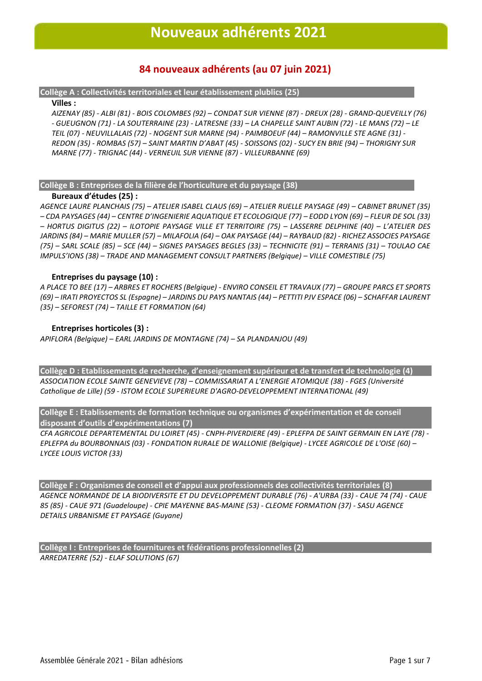## **Nouveaux adhérents 2021**

# **84 nouveaux adhérents (au 07 juin 2021)**

### **Collège A : Collectivités territoriales et leur établissement plublics (25)**

### **Villes :**

*AIZENAY (85) - ALBI (81) - BOIS COLOMBES (92) – CONDAT SUR VIENNE (87) - DREUX (28) - GRAND-QUEVEILLY (76) - GUEUGNON (71) - LA SOUTERRAINE (23) - LATRESNE (33) – LA CHAPELLE SAINT AUBIN (72) - LE MANS (72) – LE TEIL (07) - NEUVILLALAIS (72) - NOGENT SUR MARNE (94) - PAIMBOEUF (44) – RAMONVILLE STE AGNE (31) - REDON (35) - ROMBAS (57) – SAINT MARTIN D'ABAT (45) - SOISSONS (02) - SUCY EN BRIE (94) – THORIGNY SUR MARNE (77) - TRIGNAC (44) - VERNEUIL SUR VIENNE (87) - VILLEURBANNE (69)*

### **Collège B : Entreprises de la filière de l'horticulture et du paysage (38)**

### **Bureaux d'études (25) :**

*AGENCE LAURE PLANCHAIS (75) – ATELIER ISABEL CLAUS (69) – ATELIER RUELLE PAYSAGE (49) – CABINET BRUNET (35) – CDA PAYSAGES (44) – CENTRE D'INGENIERIE AQUATIQUE ET ECOLOGIQUE (77) – EODD LYON (69) – FLEUR DE SOL (33) – HORTUS DIGITUS (22) – ILOTOPIE PAYSAGE VILLE ET TERRITOIRE (75) – LASSERRE DELPHINE (40) – L'ATELIER DES JARDINS (84) – MARIE MULLER (57) – MILAFOLIA (64) – OAK PAYSAGE (44) – RAYBAUD (82) - RICHEZ ASSOCIES PAYSAGE (75) – SARL SCALE (85) – SCE (44) – SIGNES PAYSAGES BEGLES (33) – TECHNICITE (91) – TERRANIS (31) – TOULAO CAE IMPULS'IONS (38) – TRADE AND MANAGEMENT CONSULT PARTNERS (Belgique) – VILLE COMESTIBLE (75)*

### **Entreprises du paysage (10) :**

*A PLACE TO BEE (17) – ARBRES ET ROCHERS (Belgique) - ENVIRO CONSEIL ET TRAVAUX (77) – GROUPE PARCS ET SPORTS (69) – IRATI PROYECTOS SL (Espagne) – JARDINS DU PAYS NANTAIS (44) – PETTITI PJV ESPACE (06) – SCHAFFAR LAURENT (35) – SEFOREST (74) – TAILLE ET FORMATION (64)*

### **Entreprises horticoles (3) :**

*APIFLORA (Belgique) – EARL JARDINS DE MONTAGNE (74) – SA PLANDANJOU (49)*

**Collège D : Etablissements de recherche, d'enseignement supérieur et de transfert de technologie (4)** *ASSOCIATION ECOLE SAINTE GENEVIEVE (78) – COMMISSARIAT A L'ENERGIE ATOMIQUE (38) - FGES (Université Catholique de Lille) (59 - ISTOM ECOLE SUPERIEURE D'AGRO-DEVELOPPEMENT INTERNATIONAL (49)*

**Collège E : Etablissements de formation technique ou organismes d'expérimentation et de conseil disposant d'outils d'expérimentations (7)**

*CFA AGRICOLE DEPARTEMENTAL DU LOIRET (45) - CNPH-PIVERDIERE (49) - EPLEFPA DE SAINT GERMAIN EN LAYE (78) - EPLEFPA du BOURBONNAIS (03) - FONDATION RURALE DE WALLONIE (Belgique) - LYCEE AGRICOLE DE L'OISE (60) – LYCEE LOUIS VICTOR (33)*

**Collège F : Organismes de conseil et d'appui aux professionnels des collectivités territoriales (8)** *AGENCE NORMANDE DE LA BIODIVERSITE ET DU DEVELOPPEMENT DURABLE (76) - A'URBA (33) - CAUE 74 (74) - CAUE 85 (85) - CAUE 971 (Guadeloupe) - CPIE MAYENNE BAS-MAINE (53) - CLEOME FORMATION (37) - SASU AGENCE DETAILS URBANISME ET PAYSAGE (Guyane)*

**Collège I : Entreprises de fournitures et fédérations professionnelles (2)** *ARREDATERRE (52) - ELAF SOLUTIONS (67)*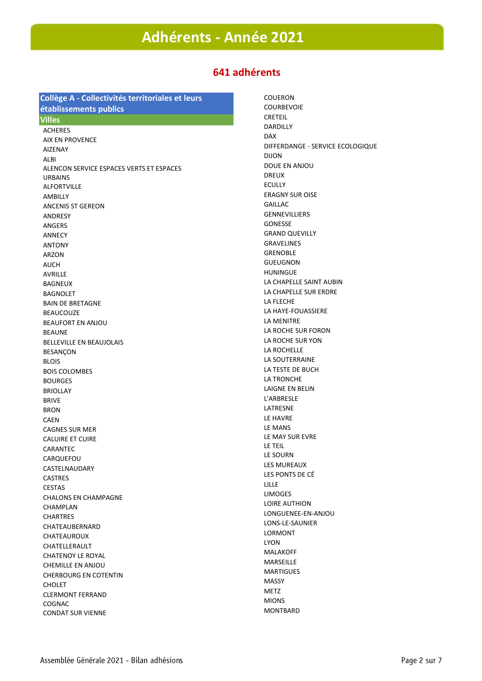## **Adhérents - Année 2021**

# **641 adhérents 25 novembre 2020**

### **Collège A - Collectivités territoriales et leurs établissements publics**

### **Villes**

ACHERES AIX EN PROVENCE AIZENAY ALBI ALENCON SERVICE ESPACES VERTS ET ESPACES URBAINS ALFORTVILLE AMBILLY ANCENIS ST GEREON ANDRESY ANGERS ANNECY ANTONY ARZON **AUCH** AVRILLE BAGNEUX BAGNOLET BAIN DE BRETAGNE BEAUCOUZE BEAUFORT EN ANJOU **BEAUNE** BELLEVILLE EN BEAUJOLAIS **BESANCON BLOIS** BOIS COLOMBES BOURGES BRIOLLAY BRIVE BRON CAEN CAGNES SUR MER CALUIRE ET CUIRE CARANTEC **CARQUEFOU** CASTELNAUDARY CASTRES CESTAS CHALONS EN CHAMPAGNE CHAMPLAN CHARTRES CHATEAUBERNARD CHATEAUROUX CHATFLI FRAULT CHATENOY LE ROYAL CHEMILLE EN ANJOU CHERBOURG EN COTENTIN CHOLET CLERMONT FERRAND COGNAC CONDAT SUR VIENNE

COUERON COURBEVOIE CRETEIL DARDILLY DAX DIFFERDANGE - SERVICE ECOLOGIQUE DIJON DOUE EN ANJOU DREUX **ECULUV** ERAGNY SUR OISE GAILLAC GENNEVILLIERS GONESSE GRAND QUEVILLY GRAVELINES GRENOBLE GUEUGNON HUNINGUE LA CHAPELLE SAINT AUBIN LA CHAPELLE SUR ERDRE LA FLECHE LA HAYE-FOUASSIERE LA MENITRE LA ROCHE SUR FORON LA ROCHE SUR YON LA ROCHELLE LA SOUTERRAINE LA TESTE DE BUCH LA TRONCHE LAIGNE EN BELIN L'ARBRESLE LATRESNE LE HAVRE LE MANS LE MAY SUR EVRE LE TEIL LE SOURN LES MUREAUX LES PONTS DE CÉ LILLE **LIMOGES** LOIRE AUTHION LONGUENEE-EN-ANJOU LONS-LE-SAUNIER LORMONT LYON MALAKOFF MARSEILLE **MARTIGUES** MASSY M<sub>E</sub>T<sub>7</sub> MIONS MONTBARD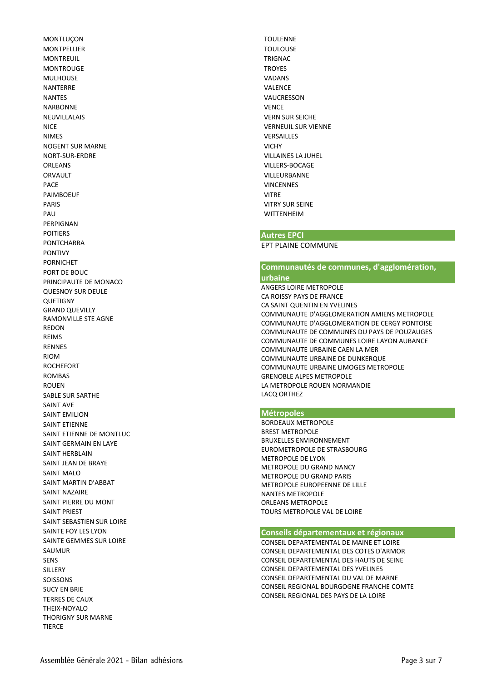**MONTLUCON** MONTPELLIER **MONTREUIL MONTROUGE** MULHOUSE NANTERRE NANTES NARBONNE NEUVILLALAIS NICE NIMES NOGENT SUR MARNE NORT-SUR-ERDRE ORLEANS ORVAULT **PACE** PAIMBOEUF PARIS PAU PERPIGNAN POITIERS PONTCHARRA PONTIVY PORNICHET PORT DE BOUC PRINCIPAUTE DE MONACO QUESNOY SUR DEULE QUETIGNY GRAND QUEVILLY RAMONVILLE STE AGNE REDON REIMS RENNES RIOM **ROCHEFORT ROMBAS** ROUEN SABLE SUR SARTHE SAINT AVE SAINT EMILION SAINT ETIENNE SAINT ETIENNE DE MONTLUC SAINT GERMAIN EN LAYE SAINT HERBLAIN SAINT JEAN DE BRAYE SAINT MALO SAINT MARTIN D'ABBAT SAINT NAZAIRE SAINT PIERRE DU MONT SAINT PRIEST SAINT SEBASTIEN SUR LOIRE SAINTE FOY LES LYON SAINTE GEMMES SUR LOIRE SAUMUR SENS SILLERY SOISSONS SUCY EN BRIE TERRES DE CAUX THEIX-NOYALO THORIGNY SUR MARNE TIERCE

TOULENNE TOULOUSE **TRIGNAC** TROYES VADANS VALENCE VAUCRESSON **VENCE** VERN SUR SEICHE VERNEUIL SUR VIENNE VERSAILLES VICHY VILLAINES LA JUHEL VILLERS-BOCAGE VILLEURBANNE **VINCENNES** VITRE VITRY SUR SEINE **WITTENHEIM** 

### **Autres EPCI**

EPT PLAINE COMMUNE

### **Communautés de communes, d'agglomération,**

### **urbaine**

ANGERS LOIRE METROPOLE CA ROISSY PAYS DE FRANCE CA SAINT QUENTIN EN YVELINES COMMUNAUTE D'AGGLOMERATION AMIENS METROPOLE COMMUNAUTE D'AGGLOMERATION DE CERGY PONTOISE COMMUNAUTE DE COMMUNES DU PAYS DE POUZAUGES COMMUNAUTE DE COMMUNES LOIRE LAYON AUBANCE COMMUNAUTE URBAINE CAEN LA MER COMMUNAUTE URBAINE DE DUNKERQUE COMMUNAUTE URBAINE LIMOGES METROPOLE GRENOBLE ALPES METROPOLE LA METROPOLE ROUEN NORMANDIE LACQ ORTHEZ

### **Métropoles**

BORDEAUX METROPOLE BREST METROPOLE BRUXELLES ENVIRONNEMENT EUROMETROPOLE DE STRASBOURG METROPOLE DE LYON METROPOLE DU GRAND NANCY METROPOLE DU GRAND PARIS METROPOLE EUROPEENNE DE LILLE NANTES METROPOLE ORLEANS METROPOLE TOURS METROPOLE VAL DE LOIRE

#### **Conseils départementaux et régionaux**

CONSEIL DEPARTEMENTAL DE MAINE ET LOIRE CONSEIL DEPARTEMENTAL DES COTES D'ARMOR CONSEIL DEPARTEMENTAL DES HAUTS DE SEINE CONSEIL DEPARTEMENTAL DES YVELINES CONSEIL DEPARTEMENTAL DU VAL DE MARNE CONSEIL REGIONAL BOURGOGNE FRANCHE COMTE CONSEIL REGIONAL DES PAYS DE LA LOIRE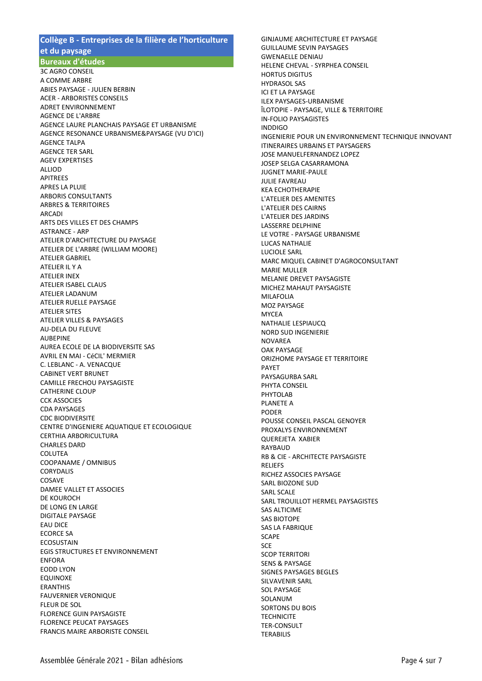### **Collège B - Entreprises de la filière de l'horticulture et du paysage**

**Bureaux d'études**

3C AGRO CONSEIL A COMME ARBRE ABIES PAYSAGE - JULIEN BERBIN ACER - ARBORISTES CONSEILS ADRET ENVIRONNEMENT AGENCE DE L'ARBRE AGENCE LAURE PLANCHAIS PAYSAGE ET URBANISME AGENCE RESONANCE URBANISME&PAYSAGE (VU D'ICI) AGENCE TALPA AGENCE TER SARL AGEV EXPERTISES **ALLIOD** APITREES APRES LA PLUIE ARBORIS CONSULTANTS ARBRES & TERRITOIRES ARCADI ARTS DES VILLES ET DES CHAMPS ASTRANCE - ARP ATELIER D'ARCHITECTURE DU PAYSAGE ATELIER DE L'ARBRE (WILLIAM MOORE) ATELIER GABRIEL ATELIER IL Y A ATELIER INEX ATELIER ISABEL CLAUS ATELIER LADANUM ATELIER RUELLE PAYSAGE ATELIER SITES ATELIER VILLES & PAYSAGES AU-DELA DU FLEUVE AUBEPINE AUREA ECOLE DE LA BIODIVERSITE SAS AVRIL EN MAI - CéCIL' MERMIER C. LEBLANC - A. VENACQUE CABINET VERT BRUNET CAMILLE FRECHOU PAYSAGISTE CATHERINE CLOUP CCK ASSOCIES CDA PAYSAGES CDC BIODIVERSITE CENTRE D'INGENIERE AQUATIQUE ET ECOLOGIQUE CERTHIA ARBORICULTURA CHARLES DARD COLUTEA COOPANAME / OMNIBUS CORYDALIS COSAVE DAMEE VALLET ET ASSOCIES DE KOUROCH DE LONG EN LARGE DIGITALE PAYSAGE EAU DICE ECORCE SA **ECOSUSTAIN** EGIS STRUCTURES ET ENVIRONNEMENT ENFORA EODD LYON EQUINOXE ERANTHIS FAUVERNIER VERONIQUE FLEUR DE SOL FLORENCE GUIN PAYSAGISTE FLORENCE PEUCAT PAYSAGES FRANCIS MAIRE ARBORISTE CONSEIL

GINJAUME ARCHITECTURE ET PAYSAGE GUILLAUME SEVIN PAYSAGES GWENAELLE DENIAU HELENE CHEVAL - SYRPHEA CONSEIL HORTUS DIGITUS HYDRASOL SAS ICI ET LA PAYSAGE ILEX PAYSAGES-URBANISME ÎLOTOPIE - PAYSAGE, VILLE & TERRITOIRE IN-FOLIO PAYSAGISTES INDDIGO INGENIERIE POUR UN ENVIRONNEMENT TECHNIQUE INNOVANT ITINERAIRES URBAINS ET PAYSAGERS JOSE MANUELFERNANDEZ LOPEZ JOSEP SELGA CASARRAMONA JUGNET MARIE-PAULE JULIE FAVREAU KEA ECHOTHERAPIE L'ATELIER DES AMENITES L'ATELIER DES CAIRNS L'ATELIER DES JARDINS LASSERRE DELPHINE LE VOTRE - PAYSAGE URBANISME LUCAS NATHALIE LUCIOLE SARL MARC MIQUEL CABINET D'AGROCONSULTANT MARIE MULLER MELANIE DREVET PAYSAGISTE MICHEZ MAHAUT PAYSAGISTE MILAFOLIA MOZ PAYSAGE MYCEA NATHALIE LESPIAUCQ NORD SUD INGENIERIE NOVAREA OAK PAYSAGE ORIZHOME PAYSAGE ET TERRITOIRE PAYET PAYSAGURBA SARL PHYTA CONSEIL PHYTOLAB PLANETE A PODER POUSSE CONSEIL PASCAL GENOYER PROXALYS ENVIRONNEMENT QUEREJETA XABIER RAYBAUD RB & CIE - ARCHITECTE PAYSAGISTE RELIEFS RICHEZ ASSOCIES PAYSAGE SARL BIOZONE SUD SARL SCALE SARL TROUILLOT HERMEL PAYSAGISTES SAS ALTICIME SAS BIOTOPE SAS LA FABRIQUE **SCAPE** SCE SCOP TERRITORI SENS & PAYSAGE SIGNES PAYSAGES BEGLES SILVAVENIR SARL SOL PAYSAGE SOLANUM SORTONS DU BOIS **TECHNICITE** TER-CONSULT **TERABILIS**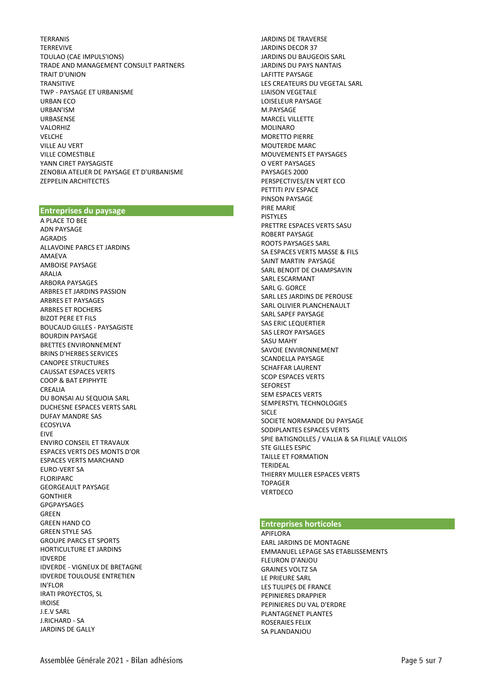TERRANIS **TERREVIVE** TOULAO (CAE IMPULS'IONS) TRADE AND MANAGEMENT CONSULT PARTNERS TRAIT D'UNION TRANSITIVE TWP - PAYSAGE ET URBANISME URBAN ECO URBAN'ISM URBASENSE VALORHIZ VELCHE VILLE AU VERT VILLE COMESTIBLE YANN CIRET PAYSAGISTE ZENOBIA ATELIER DE PAYSAGE ET D'URBANISME ZEPPELIN ARCHITECTES

### **Entreprises du paysage**

A PLACE TO BEE ADN PAYSAGE AGRADIS ALLAVOINE PARCS ET JARDINS AMAEVA AMBOISE PAYSAGE ARALIA ARBORA PAYSAGES ARBRES ET JARDINS PASSION ARBRES ET PAYSAGES ARBRES ET ROCHERS BIZOT PERE ET FILS BOUCAUD GILLES - PAYSAGISTE BOURDIN PAYSAGE BRETTES ENVIRONNEMENT BRINS D'HERBES SERVICES CANOPEE STRUCTURES CAUSSAT ESPACES VERTS COOP & BAT EPIPHYTE CREALIA DU BONSAI AU SEQUOIA SARL DUCHESNE ESPACES VERTS SARL DUFAY MANDRE SAS ECOSYLVA EIVE ENVIRO CONSEIL ET TRAVAUX ESPACES VERTS DES MONTS D'OR ESPACES VERTS MARCHAND EURO -VERT SA FLORIPARC GEORGEAULT PAYSAGE GONTHIER GPGPAYSAGES GREEN GREEN HAND CO GREEN STYLE SAS GROUPE PARCS ET SPORTS HORTICULTURE ET JARDINS IDVERDE IDVERDE - VIGNEUX DE BRETAGNE IDVERDE TOULOUSE ENTRETIEN IN'FLOR IRATI PROYECTOS, SL IROISE J.E.V SARL J.RICHARD - SA JARDINS DE GALLY

JARDINS DE TRAVERSE JARDINS DECOR 37 JARDINS DU BAUGEOIS SARL JARDINS DU PAYS NANTAIS LAFITTE PAYSAGE LES CREATEURS DU VEGETAL SARL LIAISON VEGETALE LOISELEUR PAYSAGE M.PAYSAGE MARCEL VILLETTE MOLINARO MORETTO PIERRE MOUTERDE MARC MOUVEMENTS ET PAYSAGES O VERT PAYSAGES PAYSAGES 2000 PERSPECTIVES/EN VERT ECO PETTITI PJV ESPACE PINSON PAYSAGE PIRE MARIE PISTYLES PRETTRE ESPACES VERTS SASU ROBERT PAYSAGE ROOTS PAYSAGES SARL SA ESPACES VERTS MASSE & FILS SAINT MARTIN PAYSAGE SARL BENOIT DE CHAMPSAVIN SARL ESCARMANT SARL G. GORCE SARL LES JARDINS DE PEROUSE SARL OLIVIER PLANCHENAULT SARL SAPEF PAYSAGE SAS ERIC LEQUERTIER SAS LEROY PAYSAGES SASU MAHY SAVOIE ENVIRONNEMENT SCANDELLA PAYSAGE SCHAFFAR LAURENT SCOP ESPACES VERTS SEFOREST SEM ESPACES VERTS SEMPERSTYL TECHNOLOGIES SICLE<sub></sub> SOCIETE NORMANDE DU PAYSAGE SODIPLANTES ESPACES VERTS SPIE BATIGNOLLES / VALLIA & SA FILIALE VALLOIS STE GILLES ESPIC TAILLE ET FORMATION TERIDEAL THIERRY MULLER ESPACES VERTS TOPAGER **VERTDECO** 

#### **Entreprises horticoles**

APIFI ORA EARL JARDINS DE MONTAGNE EMMANUEL LEPAGE SAS ETABLISSEMENTS FLEURON D'ANJOU GRAINES VOLTZ SA LE PRIEURE SARL LES TULIPES DE FRANCE PEPINIERES DRAPPIER PEPINIERES DU VAL D'ERDRE PLANTAGENET PLANTES ROSERAIES FELIX SA PLANDANJOU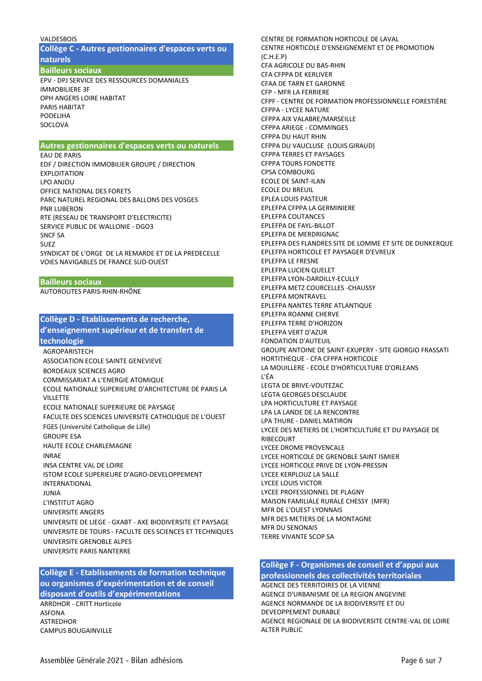#### VALDESBOIS

**Collège C - Autres gestionnaires d'espaces verts ou naturels**

**Bailleurs sociaux**

EPV - DPJ SERVICE DES RESSOURCES DOMANIALES IMMOBILIERE 3F OPH ANGERS LOIRE HABITAT PARIS HABITAT PODELIHA **SOCLOVA** 

### **Autres gestionnaires d'espaces verts ou naturels**

EAU DE PARIS EDF / DIRECTION IMMOBILIER GROUPE / DIRECTION EXPLOITATION LPO ANJOU OFFICE NATIONAL DES FORETS PARC NATUREL REGIONAL DES BALLONS DES VOSGES PNR LUBERON RTE (RESEAU DE TRANSPORT D'ELECTRICITE) SERVICE PUBLIC DE WALLONIE - DGO3 SNCF SA SUEZ SYNDICAT DE L'ORGE DE LA REMARDE ET DE LA PREDECELLE VOIES NAVIGABLES DE FRANCE SUD-OUEST

**Bailleurs sociaux** AUTOROUTES PARIS-RHIN-RHÔNE

### **Collège D - Etablissements de recherche, d'enseignement supérieur et de transfert de technologie**

**AGROPARISTECH** ASSOCIATION ECOLE SAINTE GENEVIEVE BORDEAUX SCIENCES AGRO COMMISSARIAT A L'ENERGIE ATOMIQUE ECOLE NATIONALE SUPERIEURE D'ARCHITECTURE DE PARIS LA **VILLETTE** ECOLE NATIONALE SUPERIEURE DE PAYSAGE FACULTE DES SCIENCES UNIVERSITE CATHOLIQUE DE L'OUEST FGES (Université Catholique de Lille) GROUPE ESA HAUTE ECOLE CHARLEMAGNE INRAE INSA CENTRE VAL DE LOIRE ISTOM ECOLE SUPERIEURE D'AGRO-DEVELOPPEMENT INTERNATIONAL JUNIA L'INSTITUT AGRO UNIVERSITE ANGERS UNIVERSITE DE LIEGE - GXABT - AXE BIODIVERSITE ET PAYSAGE UNIVERSITE DE TOURS - FACULTE DES SCIENCES ET TECHNIQUES UNIVERSITE GRENOBLE ALPES UNIVERSITE PARIS NANTERRE

**Collège E - Etablissements de formation technique ou organismes d'expérimentation et de conseil disposant d'outils d'expérimentations**

ARRDHOR - CRITT Horticole ASFONA ASTREDHOR CAMPUS BOUGAINVILLE

CENTRE HORTICOLE D'ENSEIGNEMENT ET DE PROMOTION (C.H.E.P) CFA AGRICOLE DU BAS-RHIN CFA CFPPA DE KERLIVER CFAA DE TARN ET GARONNE CFP - MFR LA FERRIERE CFPF - CENTRE DE FORMATION PROFESSIONNELLE FORESTIÈRE CFPPA - LYCEE NATURE CFPPA AIX VALABRE/MARSEILLE CFPPA ARIEGE - COMMINGES CFPPA DU HAUT RHIN CFPPA DU VAUCLUSE (LOUIS GIRAUD) CFPPA TERRES ET PAYSAGES CFPPA TOURS FONDETTE CPSA COMBOURG ECOLE DE SAINT-ILAN ECOLE DU BREUIL EPLEA LOUIS PASTEUR EPLEFPA CFPPA LA GERMINIERE EPLEFPA COUTANCES EPLEFPA DE FAYL-BILLOT EPLEFPA DE MERDRIGNAC EPLEFPA DES FLANDRES SITE DE LOMME ET SITE DE DUNKERQUE EPLEFPA HORTICOLE ET PAYSAGER D'EVREUX EPLEFPA LE FRESNE EPLEFPA LUCIEN QUELET EPLEFPA LYON-DARDILLY-ECULLY EPLEFPA METZ COURCELLES -CHAUSSY EPLEFPA MONTRAVEL EPLEFPA NANTES TERRE ATLANTIQUE EPLEFPA ROANNE CHERVE EPLEFPA TERRE D'HORIZON EPLEFPA VERT D'AZUR FONDATION D'AUTEUIL GROUPE ANTOINE DE SAINT-EXUPERY - SITE GIORGIO FRASSATI HORTITHEQUE - CFA CFPPA HORTICOLE LA MOUILLERE - ECOLE D'HORTICULTURE D'ORLEANS L'ÉA LEGTA DE BRIVE-VOUTEZAC LEGTA GEORGES DESCLAUDE LPA HORTICULTURE ET PAYSAGE LPA LA LANDE DE LA RENCONTRE LPA THURE - DANIEL MATIRON LYCEE DES METIERS DE L'HORTICULTURE ET DU PAYSAGE DE RIBECOURT LYCEE DROME PROVENCALE LYCEE HORTICOLE DE GRENOBLE SAINT ISMIER LYCEE HORTICOLE PRIVE DE LYON-PRESSIN LYCEE KERPLOUZ LA SALLE LYCEE LOUIS VICTOR LYCEE PROFESSIONNEL DE PLAGNY MAISON FAMILIALE RURALE CHESSY (MFR) MFR DE L'OUEST LYONNAIS MFR DES METIERS DE LA MONTAGNE MFR DU SENONAIS TERRE VIVANTE SCOP SA

CENTRE DE FORMATION HORTICOLE DE LAVAL

### **Collège F - Organismes de conseil et d'appui aux**

**professionnels des collectivités territoriales** AGENCE DES TERRITOIRES DE LA VIENNE AGENCE D'URBANISME DE LA REGION ANGEVINE AGENCE NORMANDE DE LA BIODIVERSITE ET DU DEVEOPPEMENT DURABLE AGENCE REGIONALE DE LA BIODIVERSITE CENTRE-VAL DE LOIRE ALTER PUBLIC